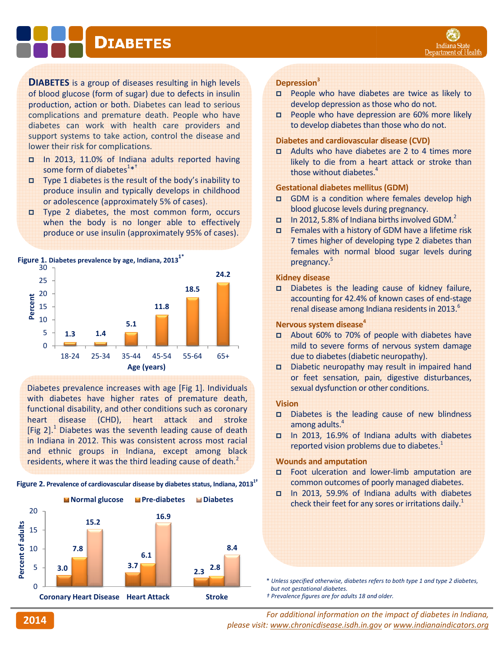# **DIABETES**

**DIABETES** is a group of diseases resulting in high levels of blood glucose (form of sugar) due to defects in insulin production, action or both. Diabetes can lead to serious complications and premature death. People who have diabetes can work with health care providers and support systems to take action, control the disease and lower their risk for complications. **DIABETES** is a group of diseases resulting in high levels<br>of blood glucose (form of sugar) due to defects in insulin<br>production, action or both. Diabetes can lead to serious<br>complications and premature death. People who

- In 2013, 11.0% of Indiana adults reported having some form of diabetes<sup>1\*†</sup>
- Type 1 diabetes is the result of the body's inability to produce insulin and typically develops in childhood or adolescence (approximately 5% of cases).
- Type 2 diabetes, the most common form, occurs when the body is no longer able to effectively produce or use insulin (approximately 95% of cases).





Diabetes prevalence increases with age [Fig 1]. Individuals with diabetes have higher rates of premature death, functional disability, and other conditions such as coronary heart disease (CHD), heart attack and stroke [Fig 2].<sup>1</sup> Diabetes was the seventh leading cause of death in Indiana in 2012. This was consistent across most racial and ethnic groups in Indiana, except among black residents, where it was the third leading cause of death.<sup>2</sup> Diabetes prevalence increases with age [Fig 1]. Individuals with diabetes have higher rates of premature death, functional disability, and other conditions such as coronary heart disease (CHD), heart attack and stroke [Fi

# Figure 2. Prevalence of cardiovascular disease by diabetes status, Indiana, 2013<sup>1†</sup>



## Depression<sup>3</sup>

- **D** People who have diabetes are twice as likely to develop depression as those who do not. develop depression as those who do not.<br>
□ People who have depression are 60% more likely
- to develop diabetes than those who do not.

#### Diabetes and cardiovascular disease (CVD)

Adults who have diabetes are 2 to 4 times more likely to die from a heart attack or stroke than those without diabetes.<sup>4</sup>

#### Gestational diabetes mellitus (GDM)

- GDM is a condition where females develop high blood glucose levels during pregnancy.
- In 2012, 5.8% of Indiana births involved GDM.<sup>2</sup>
- **D** Females with a history of GDM have a lifetime risk 7 times higher of developing type 2 diabetes than females with normal blood sugar levels during pregnancy.<sup>5</sup>

#### Kidney disease

Diabetes is the leading cause of kidney failure, accounting for 42.4% of known cases of end-stage renal disease among Indiana residents in 2013.<sup>6</sup>

#### Nervous system disease<sup>4</sup>

- a About 60% to 70% of people with diabetes have mild to severe forms of nervous system damage due to diabetes (diabetic neuropathy).
- Diabetic neuropathy may result in impaired hand or feet sensation, pain, digestive disturbances, sexual dysfunction or other conditions. sexual dysfunction or other conditions.<br> **Vision**<br> **Diabetes is the leading cause of new blindness**

## Vision

- among adults.<sup>4</sup>
- In 2013, 16.9% of Indiana adults with diabetes reported vision problems due to diabetes. $1$

# Wounds and amputation

- Foot ulceration and lower-limb amputation are common outcomes of poorly managed diabetes. common outcomes of poorly managed diabetes.<br>In 2013, 59.9% of Indiana adults with diabetes
- check their feet for any sores or irritations daily.<sup>1</sup>

\* Unless specified otherwise, diabetes refers to both type 1 and type 2 diabetes, but not gestational diabetes.

<sup>†</sup> Prevalence figures are for adults 18 and older.

For additional information on the impact of diabetes in Indiana, please visit: <u>www.chronicdisease.isdh.in.gov</u> or <u>www.indianaindicators.org</u>